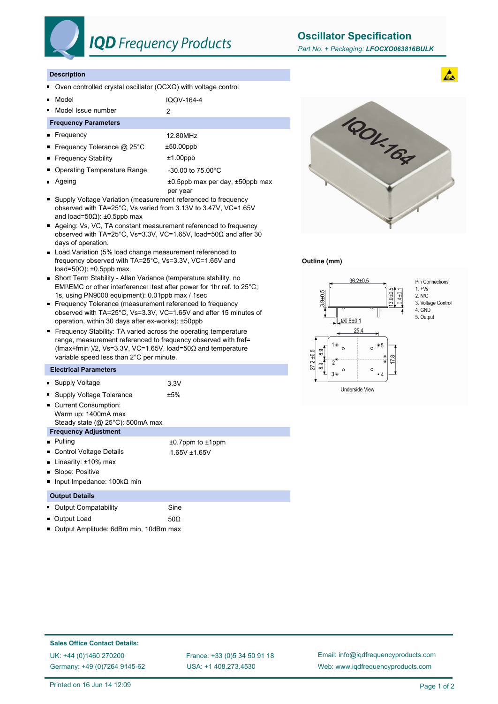

# **IQD** Frequency Products

**Oscillator Specification**

#### **Description**

- Oven controlled crystal oscillator (OCXO) with voltage control  $\blacksquare$
- Model IQOV-164-4  $\blacksquare$
- Model Issue number 2  $\blacksquare$

### **Frequency Parameters**

- Frequency 12.80MHz ■ Frequency Tolerance @ 25°C ±50.00ppb ■ Frequency Stability **the Example 11.00ppb** Operating Temperature Range -30.00 to 75.00°C
- Ageing  $\pm 0.5$ ppb max per day,  $\pm 50$ ppb max o.
- per year ■ Supply Voltage Variation (measurement referenced to frequency observed with TA=25°C, Vs varied from 3.13V to 3.47V, VC=1.65V
- and load=50Ω): ±0.5ppb max Ageing: Vs, VC, TA constant measurement referenced to frequency observed with TA=25°C, Vs=3.3V, VC=1.65V, load=50Ω and after 30 days of operation.
- Load Variation (5% load change measurement referenced to frequency observed with TA=25°C, Vs=3.3V, VC=1.65V and load=50Ω): ±0.5ppb max
- Short Term Stability Allan Variance (temperature stability, no EMI\EMC or other interference $\square$  test after power for 1hr ref. to 25°C; 1s, using PN9000 equipment): 0.01ppb max / 1sec
- Frequency Tolerance (measurement referenced to frequency observed with TA=25°C, Vs=3.3V, VC=1.65V and after 15 minutes of operation, within 30 days after ex-works): ±50ppb
- **Frequency Stability: TA varied across the operating temperature** range, measurement referenced to frequency observed with fref= (fmax+fmin )/2, Vs=3.3V, VC=1.65V, load=50Ω and temperature variable speed less than 2°C per minute.

### **Electrical Parameters**

| • Supply Voltage                                                                       | 3.3V                         |
|----------------------------------------------------------------------------------------|------------------------------|
| Supply Voltage Tolerance<br>п                                                          | ±5%                          |
| Current Consumption:<br>Warm up: 1400mA max<br>Steady state ( $@$ 25 $°C$ ): 500mA max |                              |
| <b>Frequency Adjustment</b>                                                            |                              |
| $\blacksquare$ Pulling                                                                 | $\pm 0.7$ ppm to $\pm 1$ ppm |
| Control Voltage Details                                                                | 1.65V +1.65V                 |
| Linearity: $±10\%$ max<br>п                                                            |                              |
| ■ Slope: Positive                                                                      |                              |
| Input Impedance: 100kΩ min<br>п                                                        |                              |
| <b>Output Details</b>                                                                  |                              |
| <b>Output Compatability</b>                                                            | Sine                         |
| Output Load                                                                            | 50 $\Omega$                  |





## **Outline (mm)**



Pin Connections 3. Voltage Control

5. Output

**Sales Office Contact Details:** UK: +44 (0)1460 270200 France: +33 (0)5 34 50 91 18

Germany: +49 (0)7264 9145-62

USA: +1 408.273.4530

Email: info@iqdfrequencyproducts.com Web: www.iqdfrequencyproducts.com